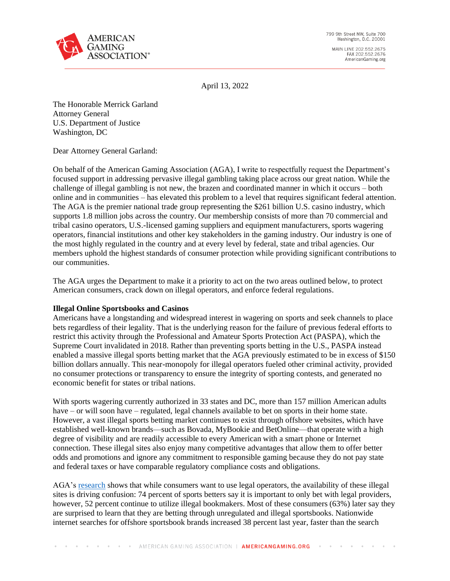

MAIN LINE 202.552.2675 FAX 202.552.2676 AmericanGaming.org

April 13, 2022

The Honorable Merrick Garland Attorney General U.S. Department of Justice Washington, DC

Dear Attorney General Garland:

On behalf of the American Gaming Association (AGA), I write to respectfully request the Department's focused support in addressing pervasive illegal gambling taking place across our great nation. While the challenge of illegal gambling is not new, the brazen and coordinated manner in which it occurs – both online and in communities – has elevated this problem to a level that requires significant federal attention. The AGA is the premier national trade group representing the \$261 billion U.S. casino industry, which supports 1.8 million jobs across the country. Our membership consists of more than 70 commercial and tribal casino operators, U.S.-licensed gaming suppliers and equipment manufacturers, sports wagering operators, financial institutions and other key stakeholders in the gaming industry. Our industry is one of the most highly regulated in the country and at every level by federal, state and tribal agencies. Our members uphold the highest standards of consumer protection while providing significant contributions to our communities.

The AGA urges the Department to make it a priority to act on the two areas outlined below, to protect American consumers, crack down on illegal operators, and enforce federal regulations.

## **Illegal Online Sportsbooks and Casinos**

Americans have a longstanding and widespread interest in wagering on sports and seek channels to place bets regardless of their legality. That is the underlying reason for the failure of previous federal efforts to restrict this activity through the Professional and Amateur Sports Protection Act (PASPA), which the Supreme Court invalidated in 2018. Rather than preventing sports betting in the U.S., PASPA instead enabled a massive illegal sports betting market that the AGA previously estimated to be in excess of \$150 billion dollars annually. This near-monopoly for illegal operators fueled other criminal activity, provided no consumer protections or transparency to ensure the integrity of sporting contests, and generated no economic benefit for states or tribal nations.

With sports wagering currently authorized in 33 states and DC, more than 157 million American adults have – or will soon have – regulated, legal channels available to bet on sports in their home state. However, a vast illegal sports betting market continues to exist through offshore websites, which have established well-known brands—such as Bovada, MyBookie and BetOnline—that operate with a high degree of visibility and are readily accessible to every American with a smart phone or Internet connection. These illegal sites also enjoy many competitive advantages that allow them to offer better odds and promotions and ignore any commitment to responsible gaming because they do not pay state and federal taxes or have comparable regulatory compliance costs and obligations.

AGA's [research](https://www.americangaming.org/resources/2020-survey-of-american-sports-bettors/) shows that while consumers want to use legal operators, the availability of these illegal sites is driving confusion: 74 percent of sports betters say it is important to only bet with legal providers, however, 52 percent continue to utilize illegal bookmakers. Most of these consumers (63%) later say they are surprised to learn that they are betting through unregulated and illegal sportsbooks. Nationwide internet searches for offshore sportsbook brands increased 38 percent last year, faster than the search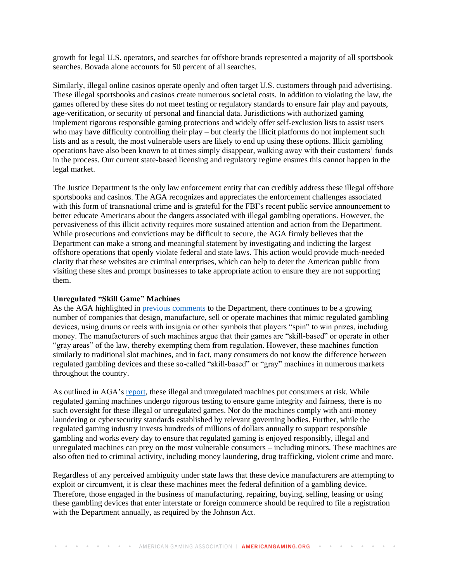growth for legal U.S. operators, and searches for offshore brands represented a majority of all sportsbook searches. Bovada alone accounts for 50 percent of all searches.

Similarly, illegal online casinos operate openly and often target U.S. customers through paid advertising. These illegal sportsbooks and casinos create numerous societal costs. In addition to violating the law, the games offered by these sites do not meet testing or regulatory standards to ensure fair play and payouts, age-verification, or security of personal and financial data. Jurisdictions with authorized gaming implement rigorous responsible gaming protections and widely offer self-exclusion lists to assist users who may have difficulty controlling their play – but clearly the illicit platforms do not implement such lists and as a result, the most vulnerable users are likely to end up using these options. Illicit gambling operations have also been known to at times simply disappear, walking away with their customers' funds in the process. Our current state-based licensing and regulatory regime ensures this cannot happen in the legal market.

The Justice Department is the only law enforcement entity that can credibly address these illegal offshore sportsbooks and casinos. The AGA recognizes and appreciates the enforcement challenges associated with this form of transnational crime and is grateful for the FBI's recent public service announcement to better educate Americans about the dangers associated with illegal gambling operations. However, the pervasiveness of this illicit activity requires more sustained attention and action from the Department. While prosecutions and convictions may be difficult to secure, the AGA firmly believes that the Department can make a strong and meaningful statement by investigating and indicting the largest offshore operations that openly violate federal and state laws. This action would provide much-needed clarity that these websites are criminal enterprises, which can help to deter the American public from visiting these sites and prompt businesses to take appropriate action to ensure they are not supporting them.

## **Unregulated "Skill Game" Machines**

As the AGA highlighted in [previous comments](https://www.americangaming.org/wp-content/uploads/2022/03/AGA-Comment-Gambling-Devices-Act-Nov.-29-202198.pdf) to the Department, there continues to be a growing number of companies that design, manufacture, sell or operate machines that mimic regulated gambling devices, using drums or reels with insignia or other symbols that players "spin" to win prizes, including money. The manufacturers of such machines argue that their games are "skill-based" or operate in other "gray areas" of the law, thereby exempting them from regulation. However, these machines function similarly to traditional slot machines, and in fact, many consumers do not know the difference between regulated gambling devices and these so-called "skill-based" or "gray" machines in numerous markets throughout the country.

As outlined in AGA's [report,](https://www.americangaming.org/wp-content/uploads/2021/04/Unregulated-Gaming-Machines-White-Paper-Final.pdf) these illegal and unregulated machines put consumers at risk. While regulated gaming machines undergo rigorous testing to ensure game integrity and fairness, there is no such oversight for these illegal or unregulated games. Nor do the machines comply with anti-money laundering or cybersecurity standards established by relevant governing bodies. Further, while the regulated gaming industry invests hundreds of millions of dollars annually to support responsible gambling and works every day to ensure that regulated gaming is enjoyed responsibly, illegal and unregulated machines can prey on the most vulnerable consumers – including minors. These machines are also often tied to criminal activity, including money laundering, drug trafficking, violent crime and more.

Regardless of any perceived ambiguity under state laws that these device manufacturers are attempting to exploit or circumvent, it is clear these machines meet the federal definition of a gambling device. Therefore, those engaged in the business of manufacturing, repairing, buying, selling, leasing or using these gambling devices that enter interstate or foreign commerce should be required to file a registration with the Department annually, as required by the Johnson Act.